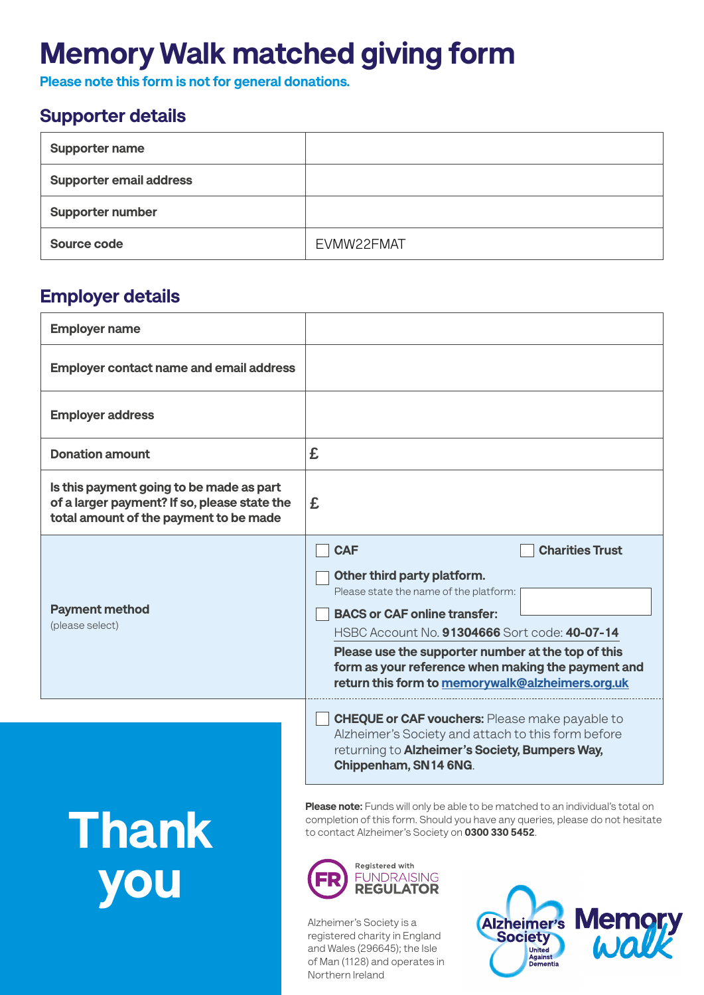## Memory Walk matched giving form

Please note this form is not for general donations.

### Supporter details

| <b>Supporter name</b>          |            |
|--------------------------------|------------|
| <b>Supporter email address</b> |            |
| <b>Supporter number</b>        |            |
| Source code                    | EVMW22FMAT |

### Employer details

Thank

you

| <b>Employer name</b>                                                                                                               |                                                                                                                                                                                                                                                                                                                                                                       |
|------------------------------------------------------------------------------------------------------------------------------------|-----------------------------------------------------------------------------------------------------------------------------------------------------------------------------------------------------------------------------------------------------------------------------------------------------------------------------------------------------------------------|
| <b>Employer contact name and email address</b>                                                                                     |                                                                                                                                                                                                                                                                                                                                                                       |
| <b>Employer address</b>                                                                                                            |                                                                                                                                                                                                                                                                                                                                                                       |
| <b>Donation amount</b>                                                                                                             | £                                                                                                                                                                                                                                                                                                                                                                     |
| Is this payment going to be made as part<br>of a larger payment? If so, please state the<br>total amount of the payment to be made | £                                                                                                                                                                                                                                                                                                                                                                     |
| <b>Payment method</b><br>(please select)                                                                                           | <b>Charities Trust</b><br><b>CAF</b><br>Other third party platform.<br>Please state the name of the platform:<br><b>BACS or CAF online transfer:</b><br>HSBC Account No. 91304666 Sort code: 40-07-14<br>Please use the supporter number at the top of this<br>form as your reference when making the payment and<br>return this form to memorywalk@alzheimers.org.uk |
|                                                                                                                                    | <b>CHEQUE or CAF vouchers:</b> Please make payable to<br>Alzheimer's Society and attach to this form before<br>returning to Alzheimer's Society, Bumpers Way,<br>Chippenham, SN14 6NG.                                                                                                                                                                                |

Please note: Funds will only be able to be matched to an individual's total on completion of this form. Should you have any queries, please do not hesitate to contact Alzheimer's Society on 0300 330 5452.



Alzheimer's Society is a registered charity in England and Wales (296645); the Isle of Man (1128) and operates in Northern Ireland